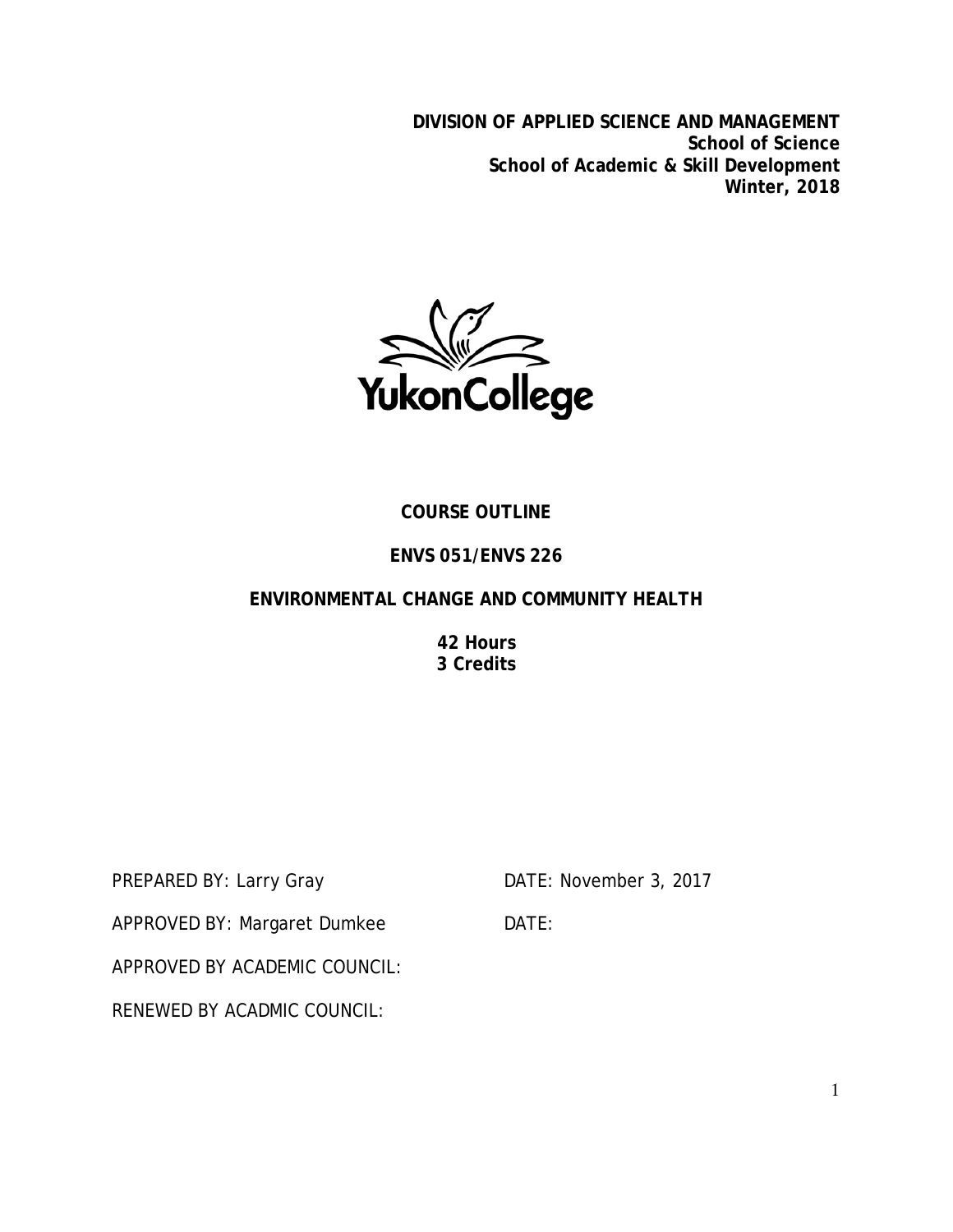**DIVISION OF APPLIED SCIENCE AND MANAGEMENT School of Science School of Academic & Skill Development Winter, 2018**



# **COURSE OUTLINE**

# **ENVS 051/ENVS 226**

## **ENVIRONMENTAL CHANGE AND COMMUNITY HEALTH**

**42 Hours 3 Credits**

PREPARED BY: Larry Gray DATE: November 3, 2017

APPROVED BY: Margaret Dumkee DATE:

APPROVED BY ACADEMIC COUNCIL:

RENEWED BY ACADMIC COUNCIL: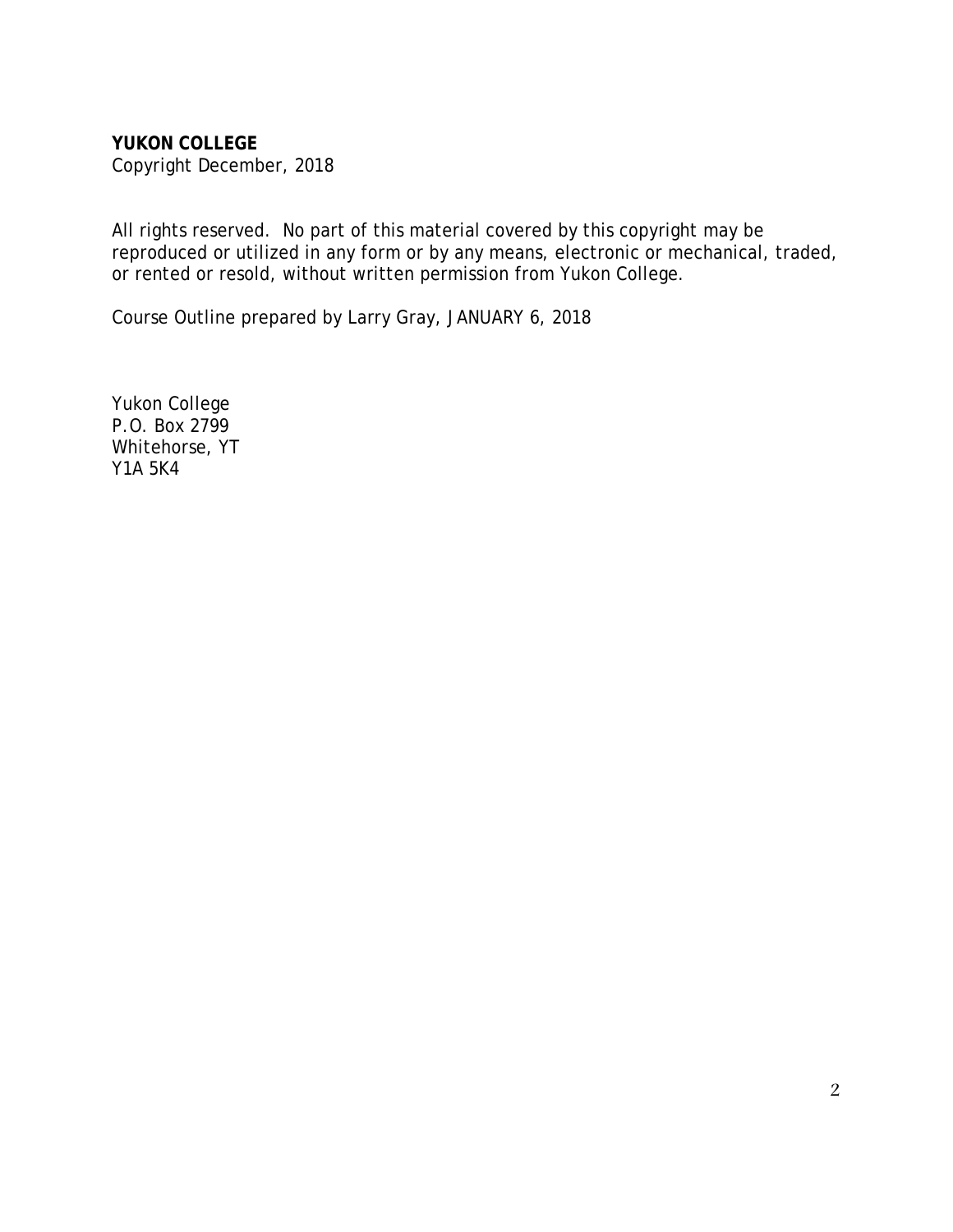**YUKON COLLEGE** Copyright December, 2018

All rights reserved. No part of this material covered by this copyright may be reproduced or utilized in any form or by any means, electronic or mechanical, traded, or rented or resold, without written permission from Yukon College.

Course Outline prepared by Larry Gray, JANUARY 6, 2018

Yukon College P.O. Box 2799 Whitehorse, YT Y1A 5K4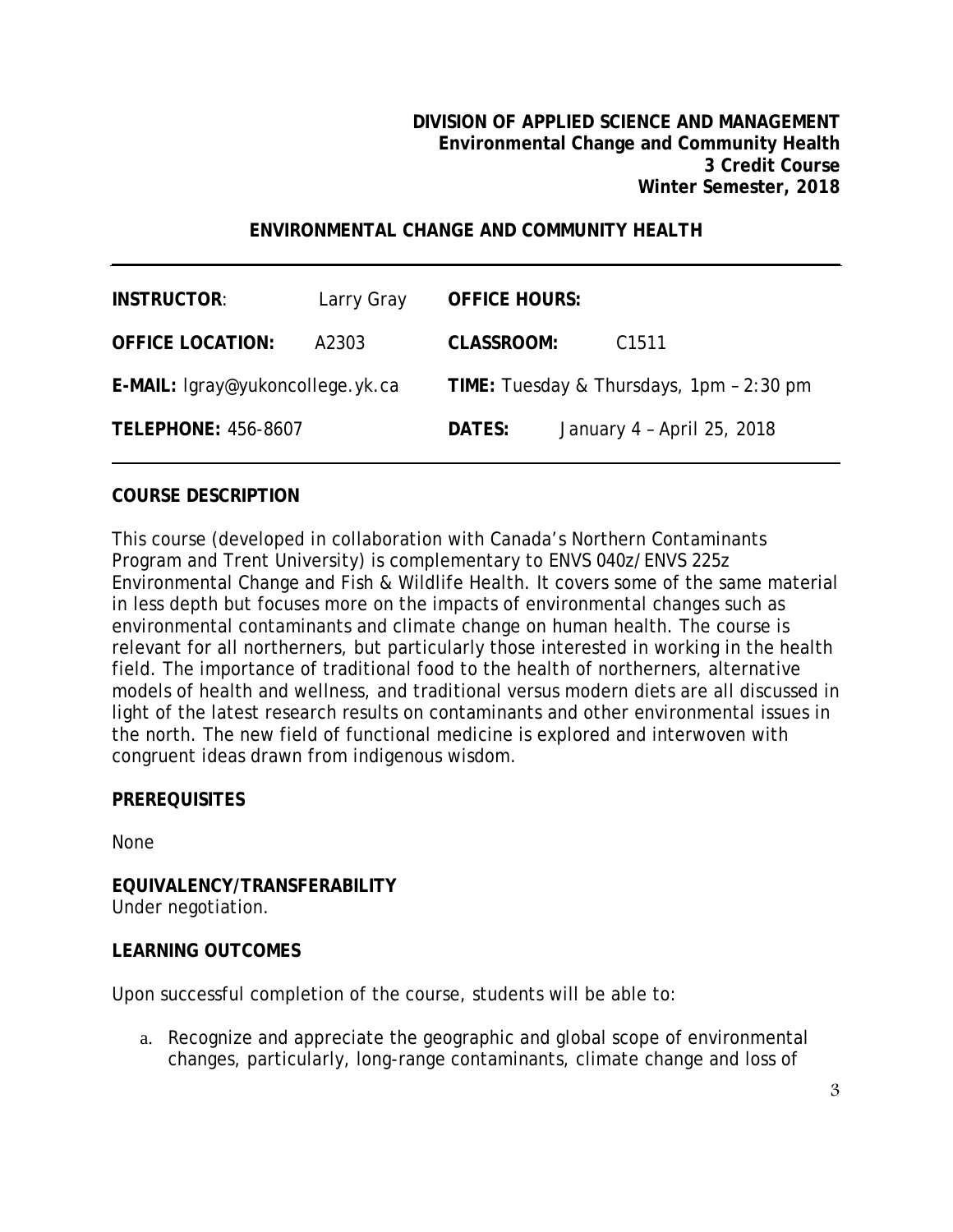## **ENVIRONMENTAL CHANGE AND COMMUNITY HEALTH**

| <b>INSTRUCTOR:</b>               | Larry Gray | <b>OFFICE HOURS:</b>                     |  |                            |
|----------------------------------|------------|------------------------------------------|--|----------------------------|
| <b>OFFICE LOCATION:</b>          | A2303      | <b>CLASSROOM:</b>                        |  | C <sub>1511</sub>          |
| E-MAIL: lgray@yukoncollege.yk.ca |            | TIME: Tuesday & Thursdays, 1pm - 2:30 pm |  |                            |
| <b>TELEPHONE: 456-8607</b>       |            | DATES:                                   |  | January 4 - April 25, 2018 |

#### **COURSE DESCRIPTION**

This course (developed in collaboration with Canada's Northern Contaminants Program and Trent University) is complementary to ENVS 040z/ENVS 225z Environmental Change and Fish & Wildlife Health. It covers some of the same material in less depth but focuses more on the impacts of environmental changes such as environmental contaminants and climate change on human health. The course is relevant for all northerners, but particularly those interested in working in the health field. The importance of traditional food to the health of northerners, alternative models of health and wellness, and traditional versus modern diets are all discussed in light of the latest research results on contaminants and other environmental issues in the north. The new field of functional medicine is explored and interwoven with congruent ideas drawn from indigenous wisdom.

#### **PREREQUISITES**

None

#### **EQUIVALENCY/TRANSFERABILITY** Under negotiation.

#### **LEARNING OUTCOMES**

Upon successful completion of the course, students will be able to:

a. Recognize and appreciate the geographic and global scope of environmental changes, particularly, long-range contaminants, climate change and loss of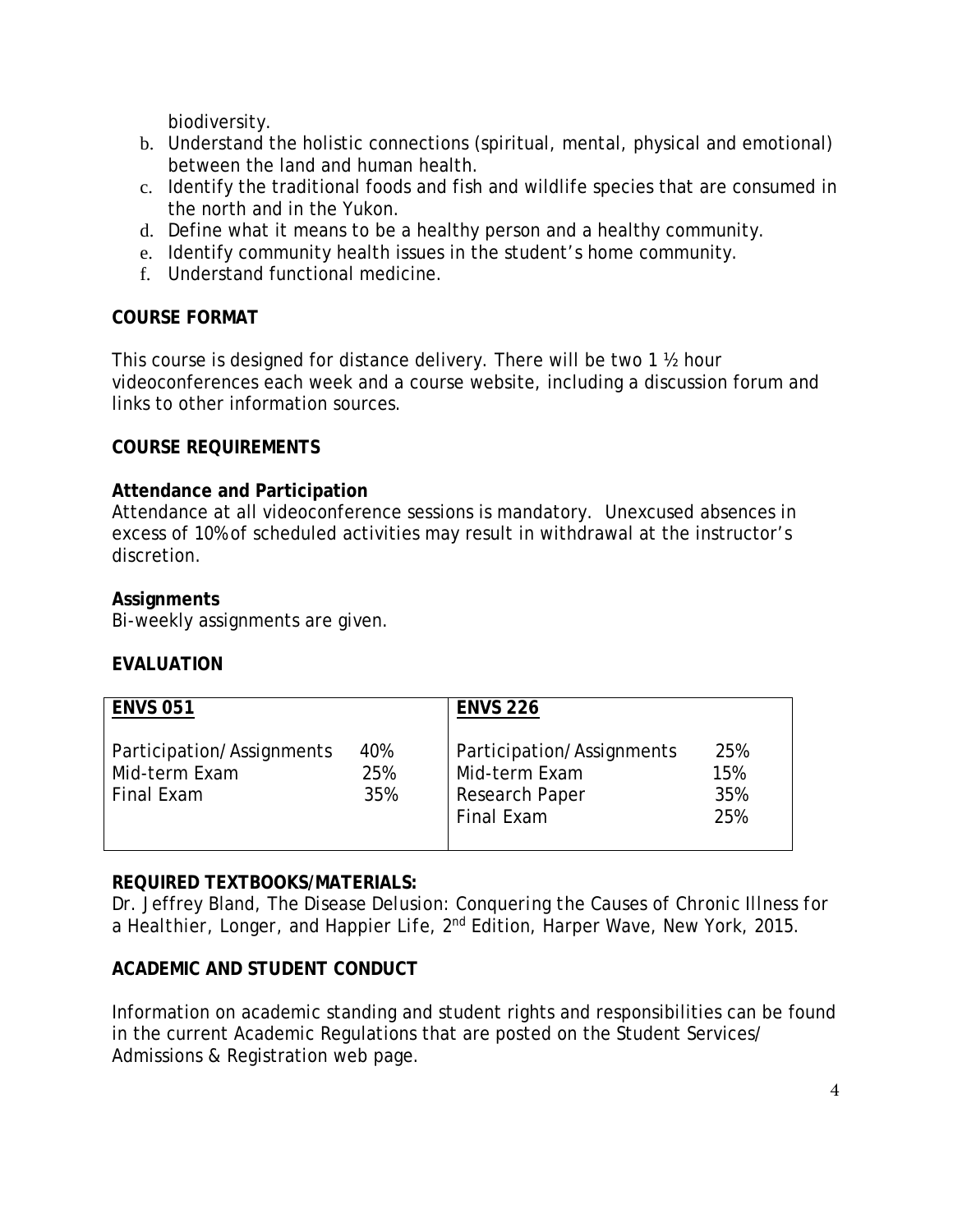biodiversity.

- b. Understand the holistic connections (spiritual, mental, physical and emotional) between the land and human health.
- c. Identify the traditional foods and fish and wildlife species that are consumed in the north and in the Yukon.
- d. Define what it means to be a healthy person and a healthy community.
- e. Identify community health issues in the student's home community.
- f. Understand functional medicine.

## **COURSE FORMAT**

This course is designed for distance delivery. There will be two 1 ½ hour videoconferences each week and a course website, including a discussion forum and links to other information sources.

#### **COURSE REQUIREMENTS**

## **Attendance and Participation**

Attendance at all videoconference sessions is mandatory. Unexcused absences in excess of 10% of scheduled activities may result in withdrawal at the instructor's discretion.

## **Assignments**

Bi-weekly assignments are given.

#### **EVALUATION**

| <b>ENVS 051</b>                                          |                   | <b>ENVS 226</b>                                                                   |                          |
|----------------------------------------------------------|-------------------|-----------------------------------------------------------------------------------|--------------------------|
| Participation/Assignments<br>Mid-term Exam<br>Final Exam | 40%<br>25%<br>35% | Participation/Assignments<br>Mid-term Exam<br><b>Research Paper</b><br>Final Exam | 25%<br>15%<br>35%<br>25% |

# **REQUIRED TEXTBOOKS/MATERIALS:**

Dr. Jeffrey Bland, *The Disease Delusion: Conquering the Causes of Chronic Illness for a Healthier, Longer, and Happier Life*, 2nd Edition, Harper Wave, New York, 2015.

# **ACADEMIC AND STUDENT CONDUCT**

Information on academic standing and student rights and responsibilities can be found in the current Academic Regulations that are posted on the Student Services/ Admissions & Registration web page.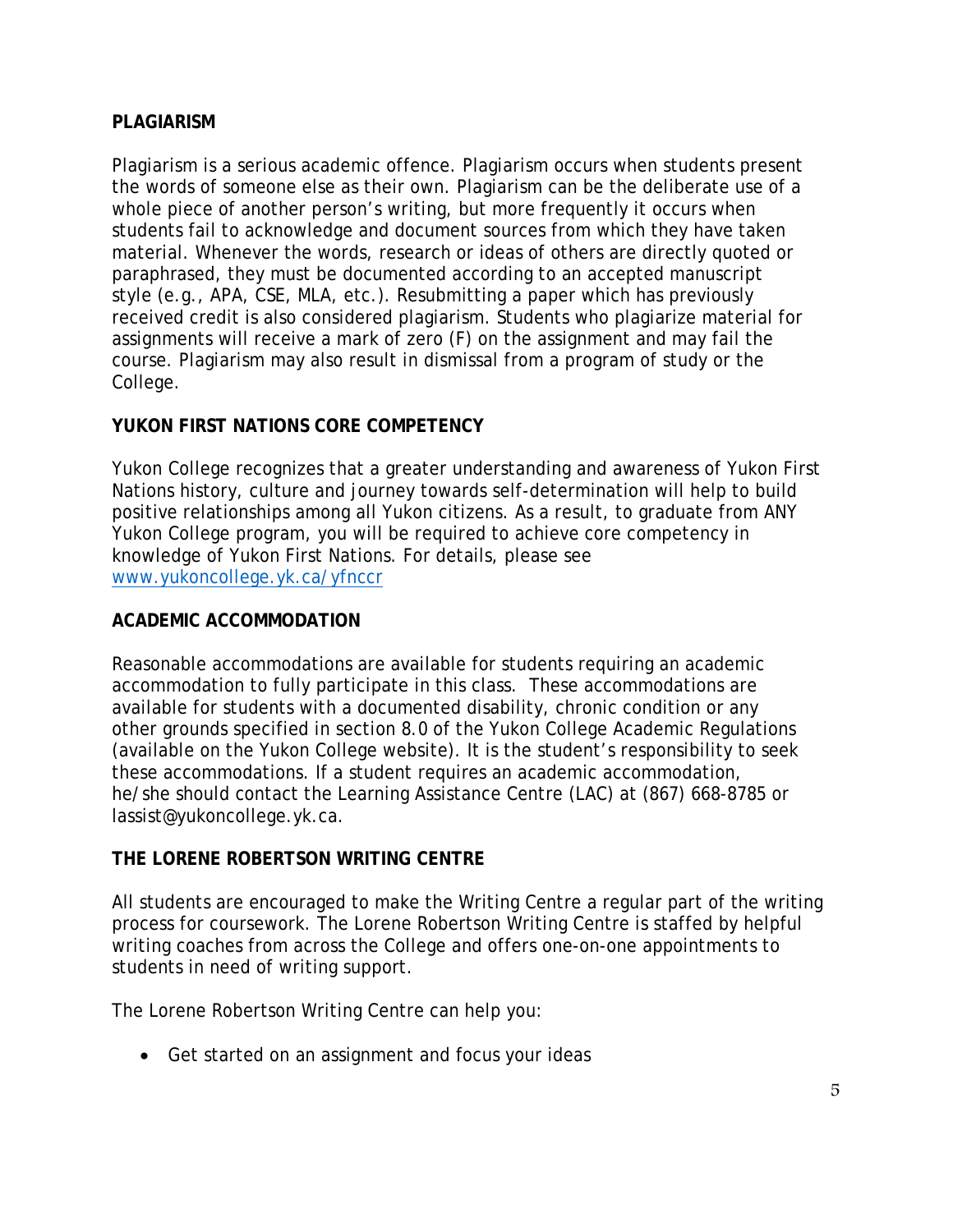## **PLAGIARISM**

Plagiarism is a serious academic offence. Plagiarism occurs when students present the words of someone else as their own. Plagiarism can be the deliberate use of a whole piece of another person's writing, but more frequently it occurs when students fail to acknowledge and document sources from which they have taken material. Whenever the words, research or ideas of others are directly quoted or paraphrased, they must be documented according to an accepted manuscript style (e.g., APA, CSE, MLA, etc.). Resubmitting a paper which has previously received credit is also considered plagiarism. Students who plagiarize material for assignments will receive a mark of zero (F) on the assignment and may fail the course. Plagiarism may also result in dismissal from a program of study or the College.

# **YUKON FIRST NATIONS CORE COMPETENCY**

Yukon College recognizes that a greater understanding and awareness of Yukon First Nations history, culture and journey towards self-determination will help to build positive relationships among all Yukon citizens. As a result, to graduate from ANY Yukon College program, you will be required to achieve core competency in knowledge of Yukon First Nations. For details, please see [www.yukoncollege.yk.ca/yfnccr](http://www.yukoncollege.yk.ca/yfnccr)

#### **ACADEMIC ACCOMMODATION**

Reasonable accommodations are available for students requiring an academic accommodation to fully participate in this class. These accommodations are available for students with a documented disability, chronic condition or any other grounds specified in section 8.0 of the Yukon College Academic Regulations (available on the Yukon College website). It is the student's responsibility to seek these accommodations. If a student requires an academic accommodation, he/she should contact the Learning Assistance Centre (LAC) at (867) 668-8785 or lassist@yukoncollege.yk.ca.

#### **THE LORENE ROBERTSON WRITING CENTRE**

All students are encouraged to make the Writing Centre a regular part of the writing process for coursework. The Lorene Robertson Writing Centre is staffed by helpful writing coaches from across the College and offers one-on-one appointments to students in need of writing support.

The Lorene Robertson Writing Centre can help you:

• Get started on an assignment and focus your ideas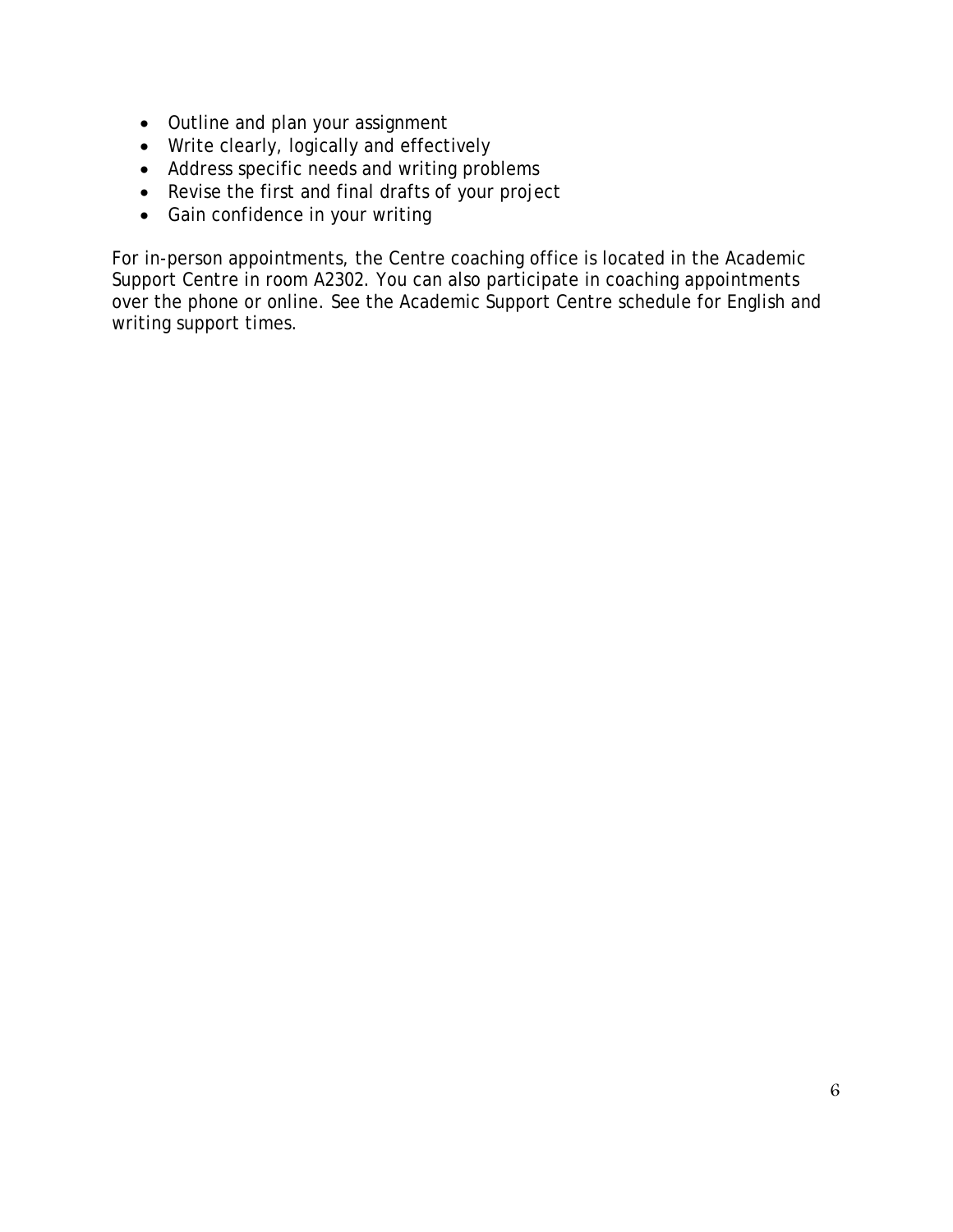- Outline and plan your assignment
- Write clearly, logically and effectively
- Address specific needs and writing problems
- Revise the first and final drafts of your project
- Gain confidence in your writing

For in-person appointments, the Centre coaching office is located in the Academic Support Centre in room A2302. You can also participate in coaching appointments over the phone or online. See the Academic Support Centre schedule for English and writing support times.